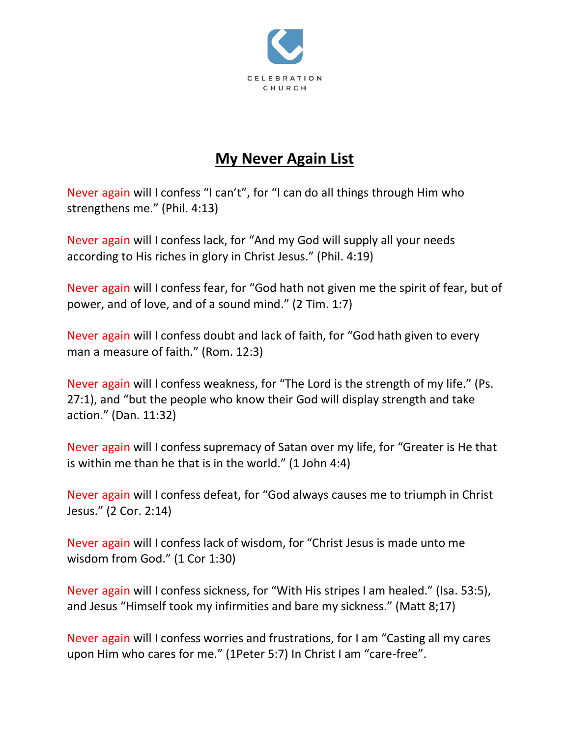

## **My Never Again List**

Never again will I confess "I can't", for "I can do all things through Him who strengthens me." (Phil. 4:13)

Never again will I confess lack, for "And my God will supply all your needs according to His riches in glory in Christ Jesus." (Phil. 4:19)

Never again will I confess fear, for "God hath not given me the spirit of fear, but of power, and of love, and of a sound mind." (2 Tim. 1:7)

Never again will I confess doubt and lack of faith, for "God hath given to every man a measure of faith." (Rom. 12:3)

Never again will I confess weakness, for "The Lord is the strength of my life." (Ps. 27:1), and "but the people who know their God will display strength and take action." (Dan. 11:32)

Never again will I confess supremacy of Satan over my life, for "Greater is He that is within me than he that is in the world." (1 John 4:4)

Never again will I confess defeat, for "God always causes me to triumph in Christ Jesus." (2 Cor. 2:14)

Never again will I confess lack of wisdom, for "Christ Jesus is made unto me wisdom from God." (1 Cor 1:30)

Never again will I confess sickness, for "With His stripes I am healed." (Isa. 53:5), and Jesus "Himself took my infirmities and bare my sickness." (Matt 8;17)

Never again will I confess worries and frustrations, for I am "Casting all my cares upon Him who cares for me." (1Peter 5:7) In Christ I am "care-free".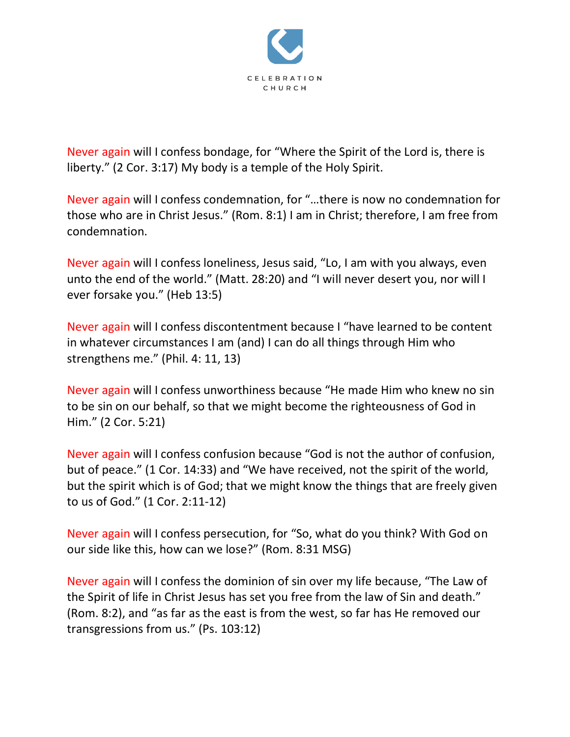

Never again will I confess bondage, for "Where the Spirit of the Lord is, there is liberty." (2 Cor. 3:17) My body is a temple of the Holy Spirit.

Never again will I confess condemnation, for "…there is now no condemnation for those who are in Christ Jesus." (Rom. 8:1) I am in Christ; therefore, I am free from condemnation.

Never again will I confess loneliness, Jesus said, "Lo, I am with you always, even unto the end of the world." (Matt. 28:20) and "I will never desert you, nor will I ever forsake you." (Heb 13:5)

Never again will I confess discontentment because I "have learned to be content in whatever circumstances I am (and) I can do all things through Him who strengthens me." (Phil. 4: 11, 13)

Never again will I confess unworthiness because "He made Him who knew no sin to be sin on our behalf, so that we might become the righteousness of God in Him." (2 Cor. 5:21)

Never again will I confess confusion because "God is not the author of confusion, but of peace." (1 Cor. 14:33) and "We have received, not the spirit of the world, but the spirit which is of God; that we might know the things that are freely given to us of God." (1 Cor. 2:11-12)

Never again will I confess persecution, for "So, what do you think? With God on our side like this, how can we lose?" (Rom. 8:31 MSG)

Never again will I confess the dominion of sin over my life because, "The Law of the Spirit of life in Christ Jesus has set you free from the law of Sin and death." (Rom. 8:2), and "as far as the east is from the west, so far has He removed our transgressions from us." (Ps. 103:12)